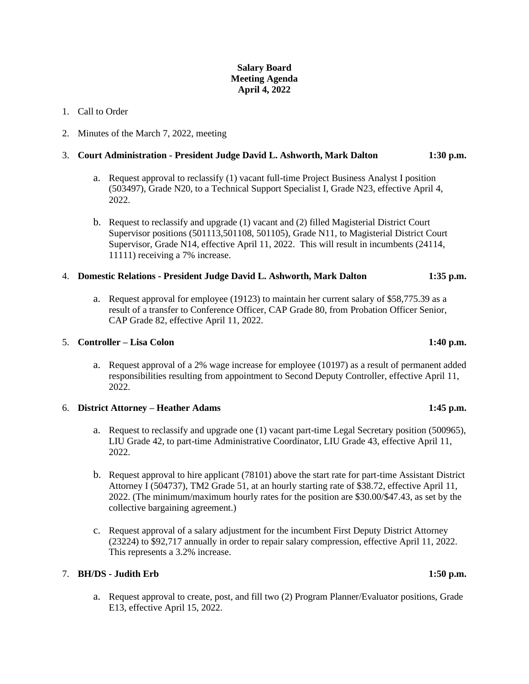# **Salary Board Meeting Agenda April 4, 2022**

# 1. Call to Order

2. Minutes of the March 7, 2022, meeting

# 3. **Court Administration - President Judge David L. Ashworth, Mark Dalton 1:30 p.m.**

- a. Request approval to reclassify (1) vacant full-time Project Business Analyst I position (503497), Grade N20, to a Technical Support Specialist I, Grade N23, effective April 4, 2022.
- b. Request to reclassify and upgrade (1) vacant and (2) filled Magisterial District Court Supervisor positions (501113,501108, 501105), Grade N11, to Magisterial District Court Supervisor, Grade N14, effective April 11, 2022. This will result in incumbents (24114, 11111) receiving a 7% increase.

### 4. **Domestic Relations - President Judge David L. Ashworth, Mark Dalton 1:35 p.m.**

a. Request approval for employee (19123) to maintain her current salary of \$58,775.39 as a result of a transfer to Conference Officer, CAP Grade 80, from Probation Officer Senior, CAP Grade 82, effective April 11, 2022.

## 5. **Controller – Lisa Colon 1:40 p.m.**

a. Request approval of a 2% wage increase for employee (10197) as a result of permanent added responsibilities resulting from appointment to Second Deputy Controller, effective April 11, 2022.

### 6. **District Attorney – Heather Adams 1:45 p.m.**

- a. Request to reclassify and upgrade one (1) vacant part-time Legal Secretary position (500965), LIU Grade 42, to part-time Administrative Coordinator, LIU Grade 43, effective April 11, 2022.
- b. Request approval to hire applicant (78101) above the start rate for part-time Assistant District Attorney I (504737), TM2 Grade 51, at an hourly starting rate of \$38.72, effective April 11, 2022. (The minimum/maximum hourly rates for the position are \$30.00/\$47.43, as set by the collective bargaining agreement.)
- c. Request approval of a salary adjustment for the incumbent First Deputy District Attorney (23224) to \$92,717 annually in order to repair salary compression, effective April 11, 2022. This represents a 3.2% increase.

## 7. **BH/DS - Judith Erb 1:50 p.m.**

a. Request approval to create, post, and fill two (2) Program Planner/Evaluator positions, Grade E13, effective April 15, 2022.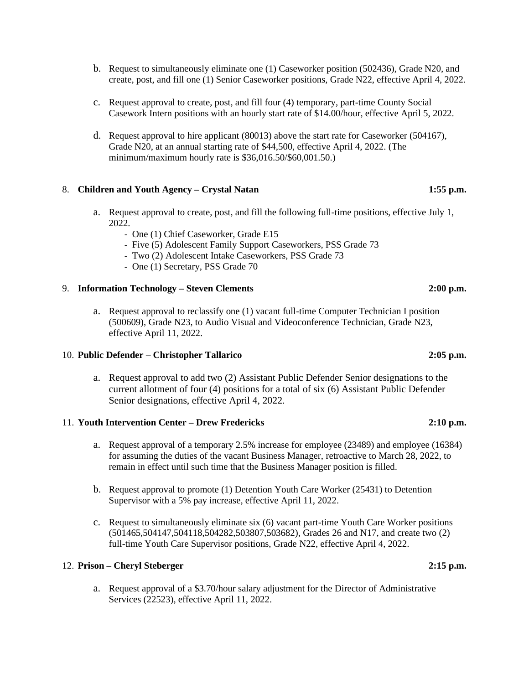- b. Request to simultaneously eliminate one (1) Caseworker position (502436), Grade N20, and create, post, and fill one (1) Senior Caseworker positions, Grade N22, effective April 4, 2022.
- c. Request approval to create, post, and fill four (4) temporary, part-time County Social Casework Intern positions with an hourly start rate of \$14.00/hour, effective April 5, 2022.
- d. Request approval to hire applicant (80013) above the start rate for Caseworker (504167), Grade N20, at an annual starting rate of \$44,500, effective April 4, 2022. (The minimum/maximum hourly rate is \$36,016.50/\$60,001.50.)

# 8. **Children and Youth Agency – Crystal Natan 1:55 p.m.**

- a. Request approval to create, post, and fill the following full-time positions, effective July 1, 2022.
	- One (1) Chief Caseworker, Grade E15
	- Five (5) Adolescent Family Support Caseworkers, PSS Grade 73
	- Two (2) Adolescent Intake Caseworkers, PSS Grade 73
	- One (1) Secretary, PSS Grade 70

### 9. **Information Technology – Steven Clements 2:00 p.m.**

a. Request approval to reclassify one (1) vacant full-time Computer Technician I position (500609), Grade N23, to Audio Visual and Videoconference Technician, Grade N23, effective April 11, 2022.

### 10. **Public Defender – Christopher Tallarico 2:05 p.m.**

a. Request approval to add two (2) Assistant Public Defender Senior designations to the current allotment of four (4) positions for a total of six (6) Assistant Public Defender Senior designations, effective April 4, 2022.

# 11. **Youth Intervention Center – Drew Fredericks 2:10 p.m.**

- a. Request approval of a temporary 2.5% increase for employee (23489) and employee (16384) for assuming the duties of the vacant Business Manager, retroactive to March 28, 2022, to remain in effect until such time that the Business Manager position is filled.
- b. Request approval to promote (1) Detention Youth Care Worker (25431) to Detention Supervisor with a 5% pay increase, effective April 11, 2022.
- c. Request to simultaneously eliminate six (6) vacant part-time Youth Care Worker positions (501465,504147,504118,504282,503807,503682), Grades 26 and N17, and create two (2) full-time Youth Care Supervisor positions, Grade N22, effective April 4, 2022.

# 12. **Prison – Cheryl Steberger 2:15 p.m.**

a. Request approval of a \$3.70/hour salary adjustment for the Director of Administrative Services (22523), effective April 11, 2022.